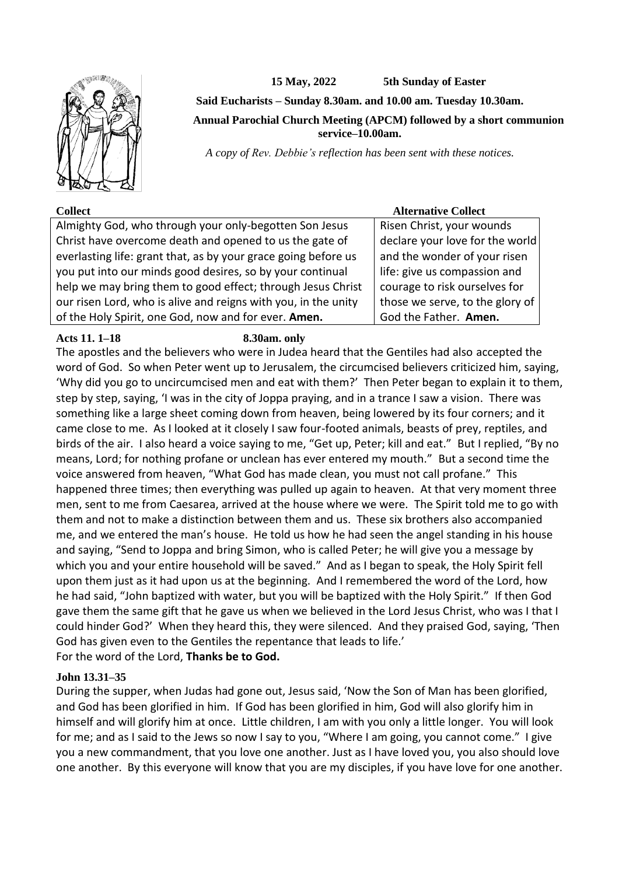

**15 May, 2022 5th Sunday of Easter**

**Said Eucharists – Sunday 8.30am. and 10.00 am. Tuesday 10.30am.**

**Annual Parochial Church Meeting (APCM) followed by a short communion service–10.00am.**

*A copy of Rev. Debbie's reflection has been sent with these notices.*

Almighty God, who through your only-begotten Son Jesus Christ have overcome death and opened to us the gate of everlasting life: grant that, as by your grace going before us you put into our minds good desires, so by your continual help we may bring them to good effect; through Jesus Christ our risen Lord, who is alive and reigns with you, in the unity of the Holy Spirit, one God, now and for ever. **Amen.**

**Collect Alternative Collect**

Risen Christ, your wounds declare your love for the world and the wonder of your risen life: give us compassion and courage to risk ourselves for those we serve, to the glory of God the Father. **Amen.**

### **Acts 11. 1–18 8.30am. only**

The apostles and the believers who were in Judea heard that the Gentiles had also accepted the word of God. So when Peter went up to Jerusalem, the circumcised believers criticized him, saying, 'Why did you go to uncircumcised men and eat with them?' Then Peter began to explain it to them, step by step, saying, 'I was in the city of Joppa praying, and in a trance I saw a vision. There was something like a large sheet coming down from heaven, being lowered by its four corners; and it came close to me. As I looked at it closely I saw four-footed animals, beasts of prey, reptiles, and birds of the air. I also heard a voice saying to me, "Get up, Peter; kill and eat." But I replied, "By no means, Lord; for nothing profane or unclean has ever entered my mouth." But a second time the voice answered from heaven, "What God has made clean, you must not call profane." This happened three times; then everything was pulled up again to heaven. At that very moment three men, sent to me from Caesarea, arrived at the house where we were. The Spirit told me to go with them and not to make a distinction between them and us. These six brothers also accompanied me, and we entered the man's house. He told us how he had seen the angel standing in his house and saying, "Send to Joppa and bring Simon, who is called Peter; he will give you a message by which you and your entire household will be saved." And as I began to speak, the Holy Spirit fell upon them just as it had upon us at the beginning. And I remembered the word of the Lord, how he had said, "John baptized with water, but you will be baptized with the Holy Spirit." If then God gave them the same gift that he gave us when we believed in the Lord Jesus Christ, who was I that I could hinder God?' When they heard this, they were silenced. And they praised God, saying, 'Then God has given even to the Gentiles the repentance that leads to life.' For the word of the Lord, **Thanks be to God.**

## **John 13.31–35**

During the supper, when Judas had gone out, Jesus said, 'Now the Son of Man has been glorified, and God has been glorified in him. If God has been glorified in him, God will also glorify him in himself and will glorify him at once. Little children, I am with you only a little longer. You will look for me; and as I said to the Jews so now I say to you, "Where I am going, you cannot come." I give you a new commandment, that you love one another. Just as I have loved you, you also should love one another. By this everyone will know that you are my disciples, if you have love for one another.